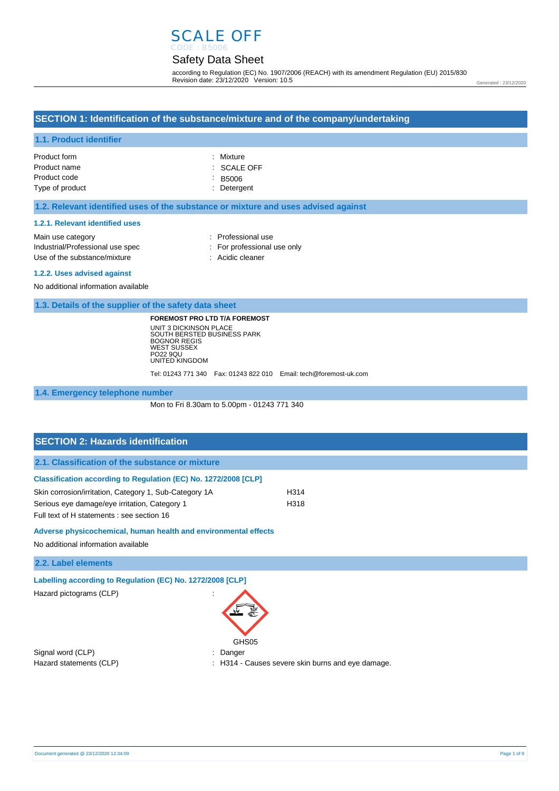# SCALE OFF

# Safety Data Sheet

according to Regulation (EC) No. 1907/2006 (REACH) with its amendment Regulation (EU) 2015/830 Revision date: 23/12/2020 Version: 10.5

Generated : 23/12/2020

### **SECTION 1: Identification of the substance/mixture and of the company/undertaking**

#### **1.1. Product identifier**

| Product form    | : Mixture              |
|-----------------|------------------------|
| Product name    | $\therefore$ SCALE OFF |
| Product code    | $\therefore$ B5006     |
| Type of product | : Detergent            |

#### **1.2. Relevant identified uses of the substance or mixture and uses advised against**

#### **1.2.1. Relevant identified uses**

| Main use category                | : Professional use          |
|----------------------------------|-----------------------------|
| Industrial/Professional use spec | : For professional use only |
| Use of the substance/mixture     | : Acidic cleaner            |
|                                  |                             |

#### **1.2.2. Uses advised against**

No additional information available

**1.3. Details of the supplier of the safety data sheet**

**FOREMOST PRO LTD T/A FOREMOST** UNIT 3 DICKINSON PLACE SOUTH BERSTED BUSINESS PARK BOGNOR REGIS WEST SUSSEX PO22 9QU UNITED KINGDOM

Tel: 01243 771 340 Fax: 01243 822 010 Email: tech@foremost-uk.com

#### **1.4. Emergency telephone number**

Mon to Fri 8.30am to 5.00pm - 01243 771 340

| <b>SECTION 2: Hazards identification</b>                                                    |      |
|---------------------------------------------------------------------------------------------|------|
| 2.1. Classification of the substance or mixture                                             |      |
| Classification according to Regulation (EC) No. 1272/2008 [CLP]                             |      |
| Skin corrosion/irritation, Category 1, Sub-Category 1A                                      | H314 |
| Serious eye damage/eye irritation, Category 1<br>Full text of H statements : see section 16 | H318 |
| Adverse physicochemical, human health and environmental effects                             |      |
| No additional information available                                                         |      |

**2.2. Label elements**

**Labelling according to Regulation (EC) No. 1272/2008 [CLP]** 

Hazard pictograms (CLP) :

Signal word (CLP) **in the set of the Signal word (CLP)** and the set of the set of the Signal and the Signal and Si



Hazard statements (CLP) : H314 - Causes severe skin burns and eye damage.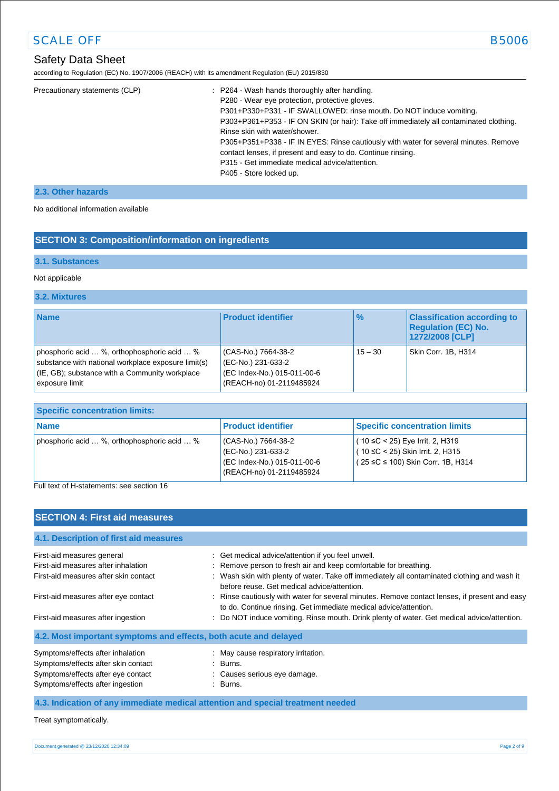# Safety Data Sheet

according to Regulation (EC) No. 1907/2006 (REACH) with its amendment Regulation (EU) 2015/830

| Precautionary statements (CLP) | : P264 - Wash hands thoroughly after handling.<br>P280 - Wear eye protection, protective gloves.<br>P301+P330+P331 - IF SWALLOWED: rinse mouth. Do NOT induce vomiting.<br>P303+P361+P353 - IF ON SKIN (or hair): Take off immediately all contaminated clothing.<br>Rinse skin with water/shower.<br>P305+P351+P338 - IF IN EYES: Rinse cautiously with water for several minutes. Remove<br>contact lenses, if present and easy to do. Continue rinsing.<br>P315 - Get immediate medical advice/attention.<br>P405 - Store locked up. |
|--------------------------------|-----------------------------------------------------------------------------------------------------------------------------------------------------------------------------------------------------------------------------------------------------------------------------------------------------------------------------------------------------------------------------------------------------------------------------------------------------------------------------------------------------------------------------------------|
|                                |                                                                                                                                                                                                                                                                                                                                                                                                                                                                                                                                         |

#### **2.3. Other hazards**

No additional information available

### **SECTION 3: Composition/information on ingredients**

#### **3.1. Substances**

#### Not applicable

#### **3.2. Mixtures**

| <b>Name</b>                                                                                                                                                                | <b>Product identifier</b>                                                                            | $\%$      | <b>Classification according to</b><br><b>Regulation (EC) No.</b><br>1272/2008 [CLP] |
|----------------------------------------------------------------------------------------------------------------------------------------------------------------------------|------------------------------------------------------------------------------------------------------|-----------|-------------------------------------------------------------------------------------|
| phosphoric acid  %, orthophosphoric acid  %<br>substance with national workplace exposure limit(s)<br>$ $ (IE, GB); substance with a Community workplace<br>exposure limit | (CAS-No.) 7664-38-2<br>(EC-No.) 231-633-2<br>(EC Index-No.) 015-011-00-6<br>(REACH-no) 01-2119485924 | $15 - 30$ | Skin Corr. 1B, H314                                                                 |

| Specific concentration limits:                              |                                                                                                     |                                                                                                                   |
|-------------------------------------------------------------|-----------------------------------------------------------------------------------------------------|-------------------------------------------------------------------------------------------------------------------|
| <b>Name</b>                                                 | <b>Product identifier</b>                                                                           | <b>Specific concentration limits</b>                                                                              |
| phosphoric acid $\ldots$ %, orthophosphoric acid $\ldots$ % | CAS-No.) 7664-38-2<br>(EC-No.) 231-633-2<br>(EC Index-No.) 015-011-00-6<br>(REACH-no) 01-2119485924 | $(10 ≤ C < 25)$ Eye Irrit. 2, H319<br>$(10 ≤ C < 25)$ Skin Irrit. 2, H315<br>$(25 ≤ C ≤ 100)$ Skin Corr. 1B, H314 |

Full text of H-statements: see section 16

#### **SECTION 4: First aid measures**

| 4.1. Description of first aid measures                           |                                                                                                                                                                   |
|------------------------------------------------------------------|-------------------------------------------------------------------------------------------------------------------------------------------------------------------|
| First-aid measures general                                       | : Get medical advice/attention if you feel unwell.                                                                                                                |
| First-aid measures after inhalation                              | : Remove person to fresh air and keep comfortable for breathing.                                                                                                  |
| First-aid measures after skin contact                            | : Wash skin with plenty of water. Take off immediately all contaminated clothing and wash it<br>before reuse. Get medical advice/attention.                       |
| First-aid measures after eye contact                             | : Rinse cautiously with water for several minutes. Remove contact lenses, if present and easy<br>to do. Continue rinsing. Get immediate medical advice/attention. |
| First-aid measures after ingestion                               | : Do NOT induce vomiting. Rinse mouth. Drink plenty of water. Get medical advice/attention.                                                                       |
| 4.2. Most important symptoms and effects, both acute and delayed |                                                                                                                                                                   |
| Symptoms/effects after inhalation                                | : May cause respiratory irritation.                                                                                                                               |
| Symptoms/effects after skin contact                              | : Burns.                                                                                                                                                          |
| Symptoms/effects after eye contact                               | : Causes serious eye damage.                                                                                                                                      |
| Symptoms/effects after ingestion                                 | : Burns.                                                                                                                                                          |

#### **4.3. Indication of any immediate medical attention and special treatment needed**

Treat symptomatically.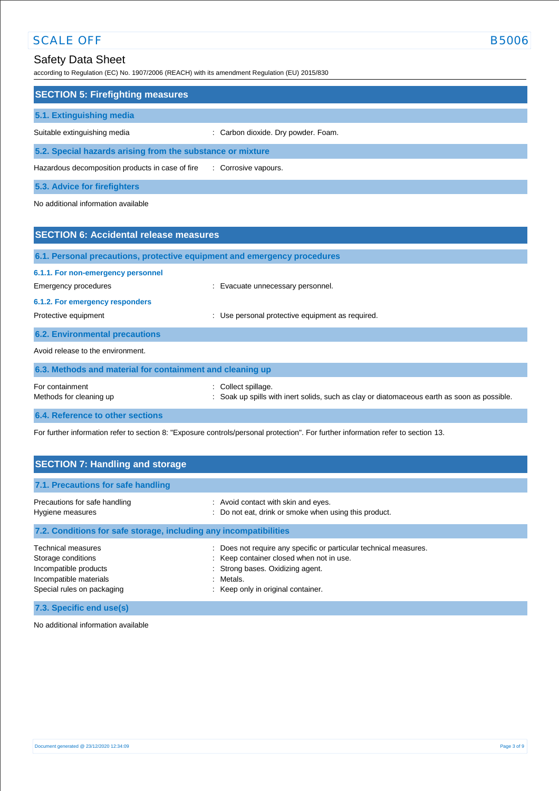according to Regulation (EC) No. 1907/2006 (REACH) with its amendment Regulation (EU) 2015/830

| <b>SECTION 5: Firefighting measures</b>                    |                                     |  |  |
|------------------------------------------------------------|-------------------------------------|--|--|
| 5.1. Extinguishing media                                   |                                     |  |  |
| Suitable extinguishing media                               | : Carbon dioxide. Dry powder. Foam. |  |  |
| 5.2. Special hazards arising from the substance or mixture |                                     |  |  |
| Hazardous decomposition products in case of fire           | : Corrosive vapours.                |  |  |

**5.3. Advice for firefighters**

No additional information available

| <b>SECTION 6: Accidental release measures</b>                                                 |                                                                                                                     |  |  |
|-----------------------------------------------------------------------------------------------|---------------------------------------------------------------------------------------------------------------------|--|--|
| 6.1. Personal precautions, protective equipment and emergency procedures                      |                                                                                                                     |  |  |
| 6.1.1. For non-emergency personnel<br>Emergency procedures<br>6.1.2. For emergency responders | : Evacuate unnecessary personnel.                                                                                   |  |  |
| Protective equipment                                                                          | Use personal protective equipment as required.<br>÷                                                                 |  |  |
| <b>6.2. Environmental precautions</b>                                                         |                                                                                                                     |  |  |
| Avoid release to the environment.                                                             |                                                                                                                     |  |  |
| 6.3. Methods and material for containment and cleaning up                                     |                                                                                                                     |  |  |
| For containment<br>Methods for cleaning up                                                    | Collect spillage.<br>÷<br>Soak up spills with inert solids, such as clay or diatomaceous earth as soon as possible. |  |  |
| 6.4. Reference to other sections                                                              |                                                                                                                     |  |  |

For further information refer to section 8: "Exposure controls/personal protection". For further information refer to section 13.

| <b>SECTION 7: Handling and storage</b>                                                                                           |                                                                                                                                                                                                      |
|----------------------------------------------------------------------------------------------------------------------------------|------------------------------------------------------------------------------------------------------------------------------------------------------------------------------------------------------|
| 7.1. Precautions for safe handling                                                                                               |                                                                                                                                                                                                      |
| Precautions for safe handling<br>Hygiene measures                                                                                | : Avoid contact with skin and eyes.<br>: Do not eat, drink or smoke when using this product.                                                                                                         |
| 7.2. Conditions for safe storage, including any incompatibilities                                                                |                                                                                                                                                                                                      |
| <b>Technical measures</b><br>Storage conditions<br>Incompatible products<br>Incompatible materials<br>Special rules on packaging | : Does not require any specific or particular technical measures.<br>: Keep container closed when not in use.<br>: Strong bases. Oxidizing agent.<br>: Metals.<br>: Keep only in original container. |

**7.3. Specific end use(s)**

No additional information available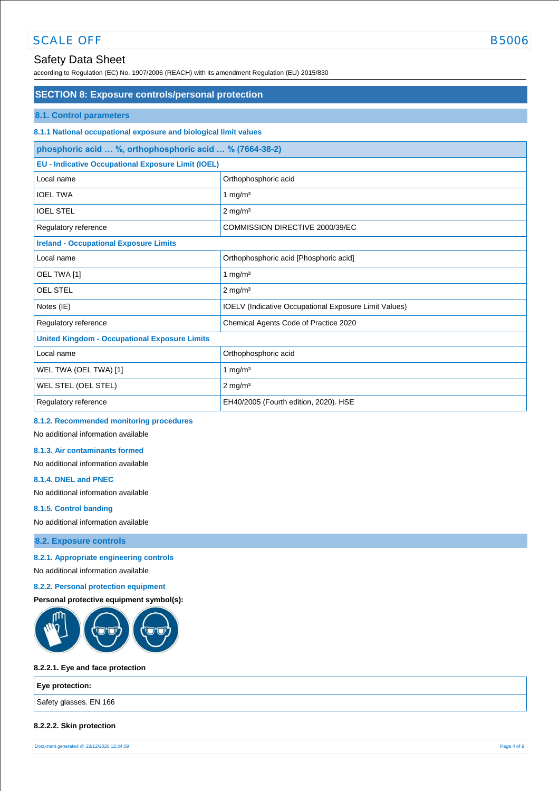# Safety Data Sheet

according to Regulation (EC) No. 1907/2006 (REACH) with its amendment Regulation (EU) 2015/830

| <b>SECTION 8: Exposure controls/personal protection</b>          |                                                              |  |
|------------------------------------------------------------------|--------------------------------------------------------------|--|
| <b>8.1. Control parameters</b>                                   |                                                              |  |
| 8.1.1 National occupational exposure and biological limit values |                                                              |  |
| phosphoric acid  %, orthophosphoric acid  % (7664-38-2)          |                                                              |  |
| <b>EU - Indicative Occupational Exposure Limit (IOEL)</b>        |                                                              |  |
| Local name                                                       | Orthophosphoric acid                                         |  |
| <b>IOEL TWA</b>                                                  | 1 mg/m $3$                                                   |  |
| <b>IOEL STEL</b>                                                 | $2$ mg/m <sup>3</sup>                                        |  |
| Regulatory reference                                             | COMMISSION DIRECTIVE 2000/39/EC                              |  |
| <b>Ireland - Occupational Exposure Limits</b>                    |                                                              |  |
| Local name                                                       | Orthophosphoric acid [Phosphoric acid]                       |  |
| OEL TWA [1]                                                      | 1 mg/ $m3$                                                   |  |
| <b>OEL STEL</b>                                                  | $2 \text{ mg/m}^3$                                           |  |
| Notes (IE)                                                       | <b>IOELV</b> (Indicative Occupational Exposure Limit Values) |  |
| Regulatory reference                                             | Chemical Agents Code of Practice 2020                        |  |
| <b>United Kingdom - Occupational Exposure Limits</b>             |                                                              |  |
| Local name                                                       | Orthophosphoric acid                                         |  |
| WEL TWA (OEL TWA) [1]                                            | 1 mg/ $m3$                                                   |  |
| WEL STEL (OEL STEL)                                              | $2$ mg/m <sup>3</sup>                                        |  |
| Regulatory reference                                             | EH40/2005 (Fourth edition, 2020). HSE                        |  |

#### **8.1.2. Recommended monitoring procedures**

No additional information available

#### **8.1.3. Air contaminants formed**

No additional information available

#### **8.1.4. DNEL and PNEC**

No additional information available

#### **8.1.5. Control banding**

No additional information available

#### **8.2. Exposure controls**

**8.2.1. Appropriate engineering controls** 

No additional information available

#### **8.2.2. Personal protection equipment**

#### **Personal protective equipment symbol(s):**



#### **8.2.2.1. Eye and face protection**

| Eye protection:        |  |
|------------------------|--|
| Safety glasses. EN 166 |  |
|                        |  |

#### **8.2.2.2. Skin protection**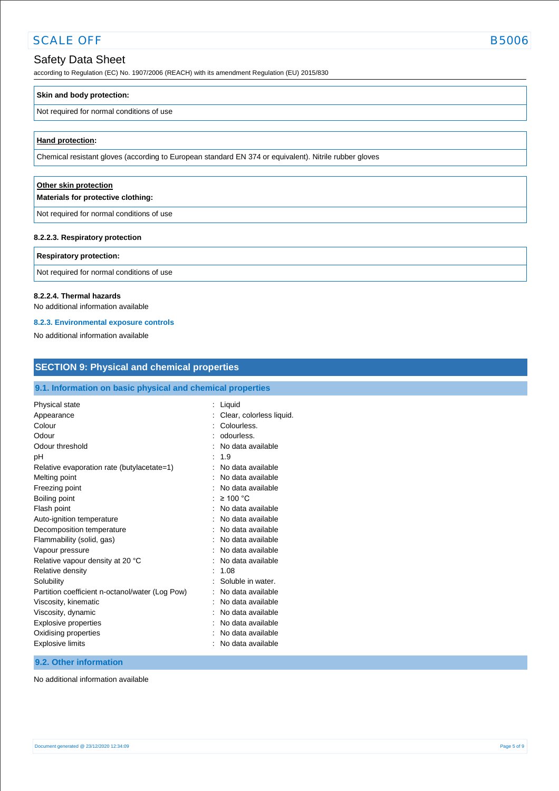## Safety Data Sheet

according to Regulation (EC) No. 1907/2006 (REACH) with its amendment Regulation (EU) 2015/830

#### **Skin and body protection:**

#### Not required for normal conditions of use

#### **Hand protection:**

Chemical resistant gloves (according to European standard EN 374 or equivalent). Nitrile rubber gloves

# **Other skin protection Materials for protective clothing:**

Not required for normal conditions of use

#### **8.2.2.3. Respiratory protection**

#### **Respiratory protection:**

Not required for normal conditions of use

#### **8.2.2.4. Thermal hazards**

No additional information available

#### **8.2.3. Environmental exposure controls**

No additional information available

| <b>SECTION 9: Physical and chemical properties</b>                                                                                                                                                                                                                               |                                                                                                                                                                                                                                                                                               |  |  |  |
|----------------------------------------------------------------------------------------------------------------------------------------------------------------------------------------------------------------------------------------------------------------------------------|-----------------------------------------------------------------------------------------------------------------------------------------------------------------------------------------------------------------------------------------------------------------------------------------------|--|--|--|
| 9.1. Information on basic physical and chemical properties                                                                                                                                                                                                                       |                                                                                                                                                                                                                                                                                               |  |  |  |
| Physical state<br>Appearance<br>Colour<br>Odour<br>Odour threshold<br>pH<br>Relative evaporation rate (butylacetate=1)<br>Melting point<br>Freezing point<br>Boiling point<br>Flash point<br>Auto-ignition temperature<br>Decomposition temperature<br>Flammability (solid, gas) | : Liquid<br>Clear, colorless liquid.<br>Colourless.<br>odourless.<br>No data available<br>1.9<br>÷<br>No data available<br>No data available<br>No data available<br>$\geq 100$ °C<br>No data available<br>٠<br>No data available<br>No data available<br>$\blacksquare$<br>No data available |  |  |  |
| Vapour pressure<br>Relative vapour density at 20 °C<br>Relative density<br>Solubility<br>Partition coefficient n-octanol/water (Log Pow)<br>Viscosity, kinematic<br>Viscosity, dynamic<br><b>Explosive properties</b><br>Oxidising properties<br><b>Explosive limits</b>         | No data available<br>No data available<br>1.08<br>Soluble in water.<br>$\blacksquare$<br>No data available<br>No data available<br>$\overline{\phantom{a}}$<br>No data available<br>No data available<br>No data available<br>No data available                                               |  |  |  |

# **9.2. Other information**

No additional information available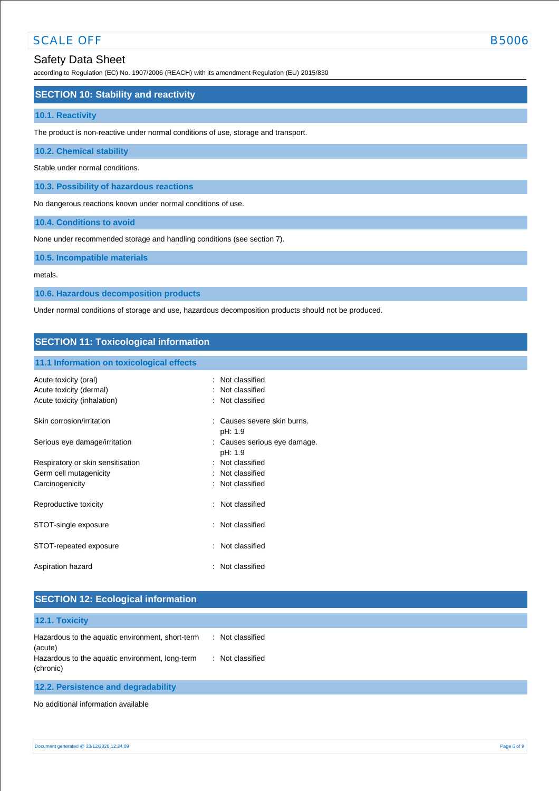according to Regulation (EC) No. 1907/2006 (REACH) with its amendment Regulation (EU) 2015/830

#### **SECTION 10: Stability and reactivity**

#### **10.1. Reactivity**

The product is non-reactive under normal conditions of use, storage and transport.

#### **10.2. Chemical stability**

Stable under normal conditions.

**10.3. Possibility of hazardous reactions**

No dangerous reactions known under normal conditions of use.

**10.4. Conditions to avoid**

None under recommended storage and handling conditions (see section 7).

**10.5. Incompatible materials**

metals.

**10.6. Hazardous decomposition products**

Under normal conditions of storage and use, hazardous decomposition products should not be produced.

#### **SECTION 11: Toxicological information**

#### **11.1 Information on toxicological effects**

| Acute toxicity (oral)<br>Acute toxicity (dermal)<br>Acute toxicity (inhalation) | Not classified<br>Not classified<br>: Not classified |
|---------------------------------------------------------------------------------|------------------------------------------------------|
| Skin corrosion/irritation                                                       | Causes severe skin burns.<br>۰<br>pH: 1.9            |
| Serious eye damage/irritation                                                   | : Causes serious eye damage.<br>pH: 1.9              |
| Respiratory or skin sensitisation                                               | : Not classified                                     |
| Germ cell mutagenicity                                                          | : Not classified                                     |
| Carcinogenicity                                                                 | : Not classified                                     |
| Reproductive toxicity                                                           | : Not classified                                     |
| STOT-single exposure                                                            | : Not classified                                     |
| STOT-repeated exposure                                                          | : Not classified                                     |
| Aspiration hazard                                                               | : Not classified                                     |

| <b>SECTION 12: Ecological information</b>                    |                     |
|--------------------------------------------------------------|---------------------|
| 12.1. Toxicity                                               |                     |
| Hazardous to the aquatic environment, short-term<br>(acute)  | : Not classified    |
| Hazardous to the aquatic environment, long-term<br>(chronic) | Not classified<br>÷ |
| 12.2. Persistence and degradability                          |                     |

No additional information available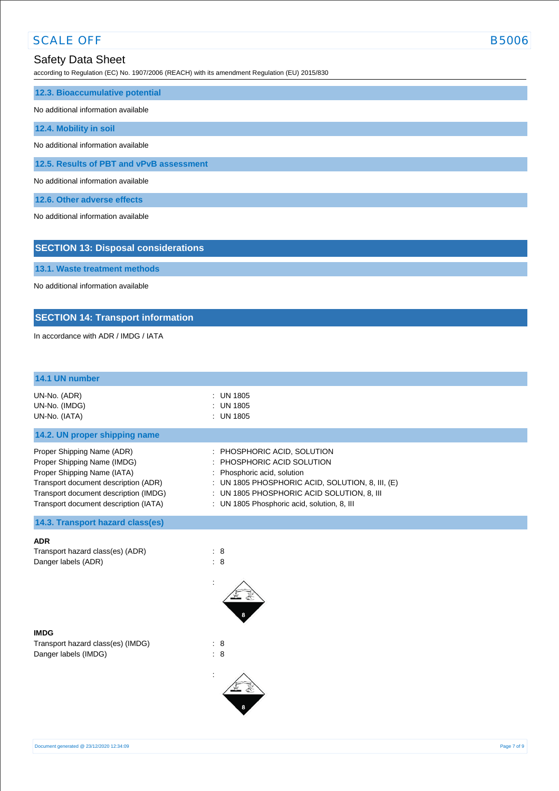according to Regulation (EC) No. 1907/2006 (REACH) with its amendment Regulation (EU) 2015/830

| 12.3. Bioaccumulative potential          |  |  |
|------------------------------------------|--|--|
| No additional information available      |  |  |
| 12.4. Mobility in soil                   |  |  |
| No additional information available      |  |  |
| 12.5. Results of PBT and vPvB assessment |  |  |
| No additional information available      |  |  |
| 12.6. Other adverse effects              |  |  |

No additional information available

**13.1. Waste treatment methods** No additional information available

In accordance with ADR / IMDG / IATA

**SECTION 13: Disposal considerations**

**SECTION 14: Transport information**

| 14.1 UN number                                                                                                                                                                                                     |                                                                                                                                                                                                                                                 |
|--------------------------------------------------------------------------------------------------------------------------------------------------------------------------------------------------------------------|-------------------------------------------------------------------------------------------------------------------------------------------------------------------------------------------------------------------------------------------------|
| UN-No. (ADR)<br>UN-No. (IMDG)<br>UN-No. (IATA)                                                                                                                                                                     | : UN 1805<br>$\therefore$ UN 1805<br>: UN 1805                                                                                                                                                                                                  |
| 14.2. UN proper shipping name                                                                                                                                                                                      |                                                                                                                                                                                                                                                 |
| Proper Shipping Name (ADR)<br>Proper Shipping Name (IMDG)<br>Proper Shipping Name (IATA)<br>Transport document description (ADR)<br>Transport document description (IMDG)<br>Transport document description (IATA) | : PHOSPHORIC ACID, SOLUTION<br>$\pm$ PHOSPHORIC ACID SOLUTION<br>: Phosphoric acid, solution<br>: UN 1805 PHOSPHORIC ACID, SOLUTION, 8, III, $(E)$<br>: UN 1805 PHOSPHORIC ACID SOLUTION, 8, III<br>: UN 1805 Phosphoric acid, solution, 8, III |
| 14.3. Transport hazard class(es)                                                                                                                                                                                   |                                                                                                                                                                                                                                                 |

**ADR** Transport hazard class(es) (ADR) : 8

Danger labels (ADR) : 8

:



Transport hazard class(es) (IMDG) : 8 Danger labels (IMDG) : 8



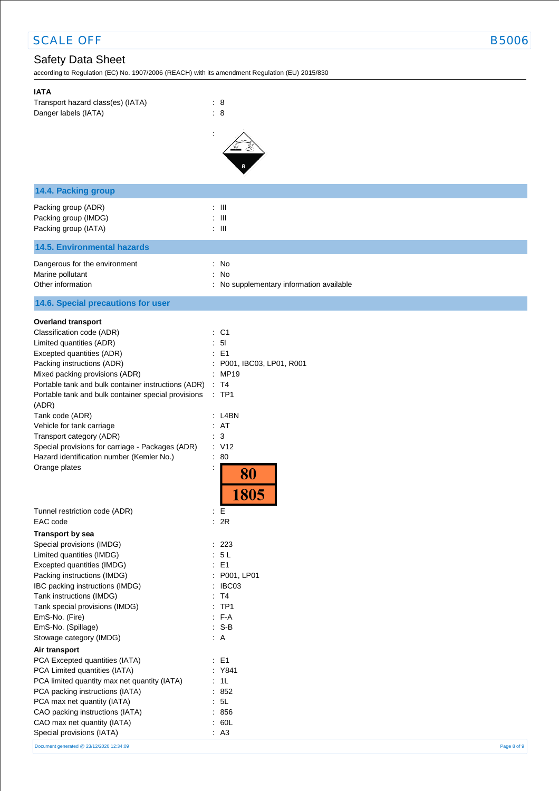# Safety Data Sheet

according to Regulation (EC) No. 1907/2006 (REACH) with its amendment Regulation (EU) 2015/830

| <b>IATA</b><br>Transport hazard class(es) (IATA)<br>Danger labels (IATA)                                                                                                                                | : 8<br>: 8                                                            |
|---------------------------------------------------------------------------------------------------------------------------------------------------------------------------------------------------------|-----------------------------------------------------------------------|
|                                                                                                                                                                                                         |                                                                       |
| 14.4. Packing group                                                                                                                                                                                     |                                                                       |
| Packing group (ADR)<br>Packing group (IMDG)<br>Packing group (IATA)                                                                                                                                     | $\therefore$ III<br>$:$ $\mathbb{H}$<br>$\therefore$ III              |
| <b>14.5. Environmental hazards</b>                                                                                                                                                                      |                                                                       |
| Dangerous for the environment<br>Marine pollutant<br>Other information                                                                                                                                  | : No<br>: No<br>No supplementary information available                |
| 14.6. Special precautions for user                                                                                                                                                                      |                                                                       |
| <b>Overland transport</b><br>Classification code (ADR)                                                                                                                                                  | $:$ C1                                                                |
| Limited quantities (ADR)                                                                                                                                                                                | : 51                                                                  |
| Excepted quantities (ADR)<br>Packing instructions (ADR)<br>Mixed packing provisions (ADR)<br>Portable tank and bulk container instructions (ADR)<br>Portable tank and bulk container special provisions | : E1<br>P001, IBC03, LP01, R001<br>: MP19<br>: T4<br>$\therefore$ TP1 |
| (ADR)                                                                                                                                                                                                   |                                                                       |
| Tank code (ADR)                                                                                                                                                                                         | : L4BN<br>: AT                                                        |
| Vehicle for tank carriage<br>Transport category (ADR)                                                                                                                                                   | : 3                                                                   |
| Special provisions for carriage - Packages (ADR)                                                                                                                                                        | : V12                                                                 |
| Hazard identification number (Kemler No.)<br>Orange plates                                                                                                                                              | $\therefore 80$<br>$\ddot{\cdot}$<br>80<br>805                        |
| Tunnel restriction code (ADR)<br>EAC code                                                                                                                                                               | : E<br>: 2R                                                           |
| <b>Transport by sea</b><br>Special provisions (IMDG)                                                                                                                                                    | : 223                                                                 |
| Limited quantities (IMDG)                                                                                                                                                                               | : 5L                                                                  |
| Excepted quantities (IMDG)                                                                                                                                                                              | $\therefore$ E1                                                       |
| Packing instructions (IMDG)<br>IBC packing instructions (IMDG)                                                                                                                                          | : P001, LP01<br>: IBC03                                               |
| Tank instructions (IMDG)                                                                                                                                                                                | : T4                                                                  |
| Tank special provisions (IMDG)                                                                                                                                                                          | $:$ TP1                                                               |
| EmS-No. (Fire)                                                                                                                                                                                          | $F-A$                                                                 |
| EmS-No. (Spillage)<br>Stowage category (IMDG)                                                                                                                                                           | $: S-B$<br>$\therefore$ A                                             |
| Air transport                                                                                                                                                                                           |                                                                       |
| PCA Excepted quantities (IATA)                                                                                                                                                                          | $\therefore$ E1                                                       |
| PCA Limited quantities (IATA)                                                                                                                                                                           | : Y841                                                                |
| PCA limited quantity max net quantity (IATA)                                                                                                                                                            | : 1L                                                                  |
| PCA packing instructions (IATA)<br>PCA max net quantity (IATA)                                                                                                                                          | : 852<br>: 5L                                                         |
| CAO packing instructions (IATA)                                                                                                                                                                         | : 856                                                                 |
| CAO max net quantity (IATA)                                                                                                                                                                             | : 60L                                                                 |
| Special provisions (IATA)                                                                                                                                                                               | : A3                                                                  |